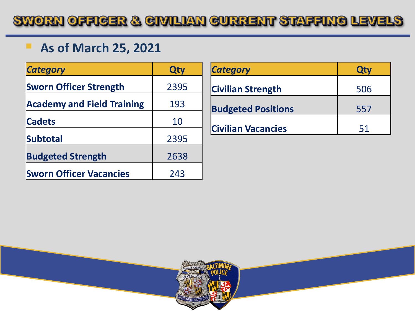SWORN OFFICER & GIVILIAN GURRENT STAFFING LEVELS

#### **B** As of March 25, 2021

| <b>Category</b>                   | Qty  |
|-----------------------------------|------|
| <b>Sworn Officer Strength</b>     | 2395 |
| <b>Academy and Field Training</b> | 193  |
| <b>Cadets</b>                     | 10   |
| Subtotal                          | 2395 |
| <b>Budgeted Strength</b>          | 2638 |
| <b>Sworn Officer Vacancies</b>    | 243  |

| <b>Category</b>           | Qty |
|---------------------------|-----|
| <b>Civilian Strength</b>  | 506 |
| <b>Budgeted Positions</b> | 557 |
| <b>Civilian Vacancies</b> | 51  |

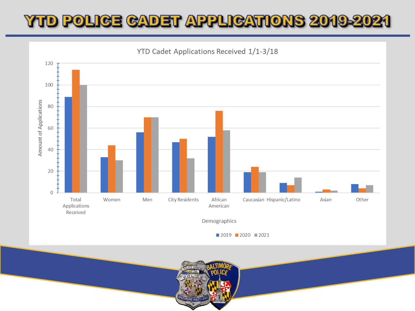## YTD POLICE CADET APPLICATIONS 2019-2021



 $2019$  2020 2021

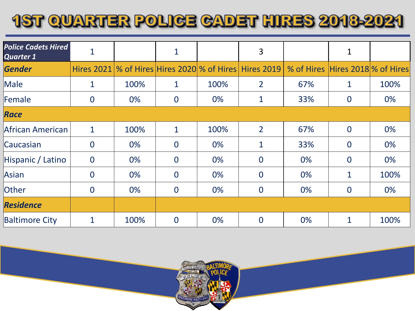## 1ST QUARTER POLICE GADET HIRES 2018-2021

| <b>Police Cadets Hired</b><br>Quarter 1 | $\mathbf{1}$   |      | 1              |       | 3                                                                                         |     | 1        |       |
|-----------------------------------------|----------------|------|----------------|-------|-------------------------------------------------------------------------------------------|-----|----------|-------|
| <b>Gender</b>                           |                |      |                |       | Hires 2021 % of Hires Hires 2020 % of Hires Hires 2019   % of Hires Hires 2018 % of Hires |     |          |       |
| Male                                    | 1              | 100% | 1              | 100%  | 2                                                                                         | 67% | 1        | 100%  |
| Female                                  | $\bf{0}$       | 0%   | $\bf{0}$       | $0\%$ | 1                                                                                         | 33% | $\bf{0}$ | $0\%$ |
| Race                                    |                |      |                |       |                                                                                           |     |          |       |
| African American                        | 1              | 100% | $\mathbf 1$    | 100%  | $\overline{2}$                                                                            | 67% | $\bf{0}$ | 0%    |
| Caucasian                               | $\bf{0}$       | 0%   | $\bf{0}$       | 0%    | 1                                                                                         | 33% | $\bf{0}$ | 0%    |
| Hispanic / Latino                       | $\bf{0}$       | 0%   | $\bf{0}$       | 0%    | $\overline{0}$                                                                            | 0%  | $\bf{0}$ | 0%    |
| Asian                                   | $\bf{0}$       | 0%   | $\overline{0}$ | 0%    | 0                                                                                         | 0%  | 1        | 100%  |
| Other                                   | $\overline{0}$ | 0%   | $\bf{0}$       | 0%    | 0                                                                                         | 0%  | $\bf{0}$ | 0%    |
| <b>Residence</b>                        |                |      |                |       |                                                                                           |     |          |       |
| <b>Baltimore City</b>                   |                | 100% | $\bf{0}$       | 0%    | 0                                                                                         | 0%  |          | 100%  |

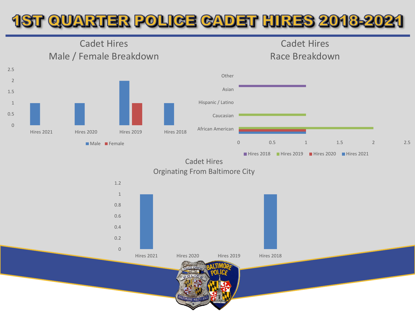# IST QUARTER POLICE CADET HIRES 2018-202

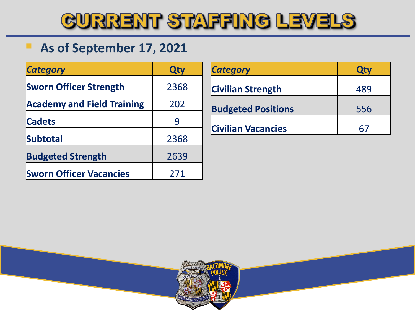

### **B** As of September 17, 2021

| <b>Category</b>                   | Qty  |
|-----------------------------------|------|
| <b>Sworn Officer Strength</b>     | 2368 |
| <b>Academy and Field Training</b> | 202  |
| <b>Cadets</b>                     | 9    |
| <b>Subtotal</b>                   | 2368 |
| <b>Budgeted Strength</b>          | 2639 |
| <b>Sworn Officer Vacancies</b>    | 271  |

| <b>Category</b>           | Qty |
|---------------------------|-----|
| <b>Civilian Strength</b>  | 489 |
| <b>Budgeted Positions</b> | 556 |
| <b>Civilian Vacancies</b> |     |